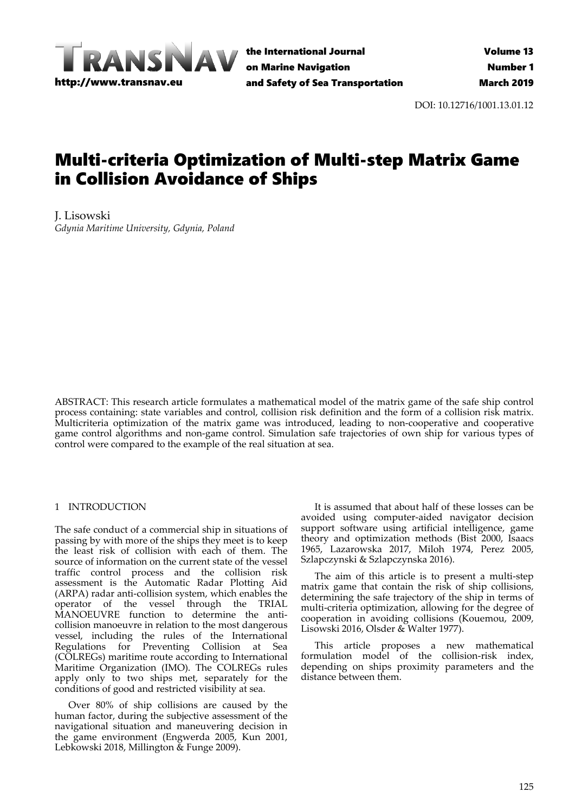

the International Journal on Marine Navigation and Safety of Sea Transportation

DOI: 10.12716/1001.13.01.12

# Multi-criteria Optimization of Multi-step Matrix Game in Collision Avoidance of Ships

J. Lisowski *Gdynia Maritime University, Gdynia, Poland* 

ABSTRACT: This research article formulates a mathematical model of the matrix game of the safe ship control process containing: state variables and control, collision risk definition and the form of a collision risk matrix. Multicriteria optimization of the matrix game was introduced, leading to non-cooperative and cooperative game control algorithms and non-game control. Simulation safe trajectories of own ship for various types of control were compared to the example of the real situation at sea.

## 1 INTRODUCTION

The safe conduct of a commercial ship in situations of passing by with more of the ships they meet is to keep the least risk of collision with each of them. The source of information on the current state of the vessel traffic control process and the collision risk assessment is the Automatic Radar Plotting Aid (ARPA) radar anti-collision system, which enables the operator of the vessel through the TRIAL MANOEUVRE function to determine the anticollision manoeuvre in relation to the most dangerous vessel, including the rules of the International Regulations for Preventing Collision at Sea (COLREGs) maritime route according to International Maritime Organization (IMO). The COLREGs rules apply only to two ships met, separately for the conditions of good and restricted visibility at sea.

Over 80% of ship collisions are caused by the human factor, during the subjective assessment of the navigational situation and maneuvering decision in the game environment (Engwerda 2005, Kun 2001, Lebkowski 2018, Millington & Funge 2009).

It is assumed that about half of these losses can be avoided using computer-aided navigator decision support software using artificial intelligence, game theory and optimization methods (Bist 2000, Isaacs 1965, Lazarowska 2017, Miloh 1974, Perez 2005, Szlapczynski & Szlapczynska 2016).

The aim of this article is to present a multi-step matrix game that contain the risk of ship collisions, determining the safe trajectory of the ship in terms of multi-criteria optimization, allowing for the degree of cooperation in avoiding collisions (Kouemou, 2009, Lisowski 2016, Olsder & Walter 1977).

This article proposes a new mathematical formulation model of the collision-risk index, depending on ships proximity parameters and the distance between them.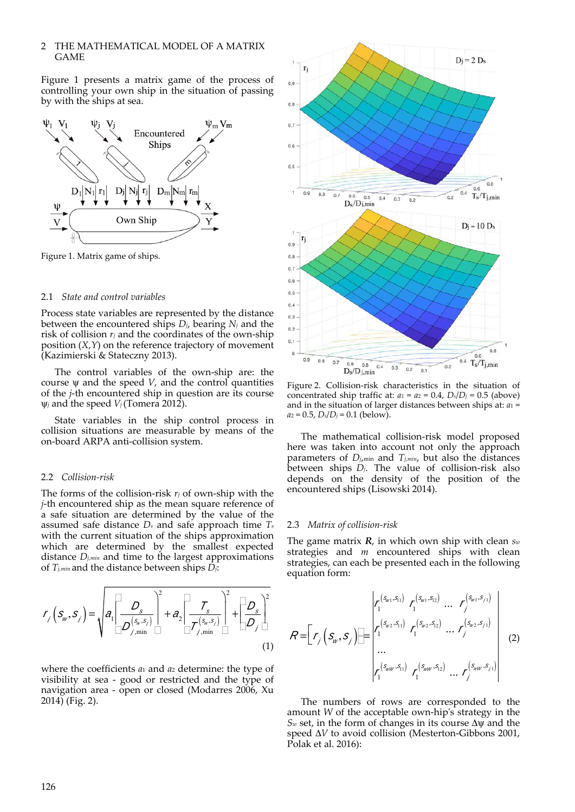# 2 THE MATHEMATICAL MODEL OF A MATRIX GAME

Figure 1 presents a matrix game of the process of controlling your own ship in the situation of passing by with the ships at sea.



Figure 1. Matrix game of ships.

#### 2.1 *State and control variables*

Process state variables are represented by the distance between the encountered ships *Dj*, bearing *Nj* and the risk of collision  $r_i$  and the coordinates of the own-ship position (*X*,*Y*) on the reference trajectory of movement (Kazimierski & Stateczny 2013).

The control variables of the own-ship are: the course  $\psi$  and the speed *V*, and the control quantities of the *j*-th encountered ship in question are its course  $\psi_j$  and the speed  $V_j$  (Tomera 2012).

State variables in the ship control process in collision situations are measurable by means of the on-board ARPA anti-collision system.

#### 2.2 *Collision-risk*

The forms of the collision-risk  $r_j$  of own-ship with the *j*-th encountered ship as the mean square reference of a safe situation are determined by the value of the assumed safe distance *Ds* and safe approach time *Ts* with the current situation of the ships approximation which are determined by the smallest expected distance *Dj,min* and time to the largest approximations of *Tj,min* and the distance between ships *Dj*:

$$
r_j\left(s_w, s_j\right) = \sqrt{a_1 \left[\frac{D_s}{D_{j,\min}^{(s_w, s_j)}}\right]^2 + a_2 \left[\frac{T_s}{D_{j,\min}^{(s_w, s_j)}}\right]^2 + \left[\frac{D_s}{D_j}\right]^2}
$$
(1)

where the coefficients *a*1 and *a*2 determine: the type of visibility at sea - good or restricted and the type of navigation area - open or closed (Modarres 2006, Xu 2014) (Fig. 2).



Figure 2. Collision-risk characteristics in the situation of concentrated ship traffic at:  $a_1 = a_2 = 0.4$ ,  $D_s/D_j = 0.5$  (above) and in the situation of larger distances between ships at: *a*1 =  $a_2 = 0.5$ ,  $D_s/D_j = 0.1$  (below).

The mathematical collision-risk model proposed here was taken into account not only the approach parameters of *Dj*,min and *Tj,min*, but also the distances between ships *Dj*. The value of collision-risk also depends on the density of the position of the encountered ships (Lisowski 2014).

#### 2.3 *Matrix of collision-risk*

The game matrix *R*, in which own ship with clean *sw* strategies and *m* encountered ships with clean strategies, can each be presented each in the following equation form:

$$
R = \left[ r_{j} \left( s_{w}, s_{j} \right) \right] \left[ \begin{array}{ccc} r_{1}^{(s_{w_{1}}, s_{1})} & r_{1}^{(s_{w_{1}}, s_{2})} & \cdots & r_{j}^{(s_{w_{1}}, s_{j})} \\ r_{1}^{(s_{w_{2}}, s_{1})} & r_{1}^{(s_{w_{2}}, s_{1})} & \cdots & r_{j}^{(s_{w_{2}}, s_{j})} \\ \cdots & \cdots & \cdots & \cdots \\ r_{1}^{(s_{w_{w}}, s_{1})} & r_{1}^{(s_{w_{w}}, s_{1})} & \cdots & r_{j}^{(s_{w_{w}}, s_{j})} \end{array} \right] \tag{2}
$$

The numbers of rows are corresponded to the amount *W* of the acceptable own-hip's strategy in the  $S_w$  set, in the form of changes in its course  $\Delta \psi$  and the speed  $\Delta V$  to avoid collision (Mesterton-Gibbons 2001, Polak et al. 2016):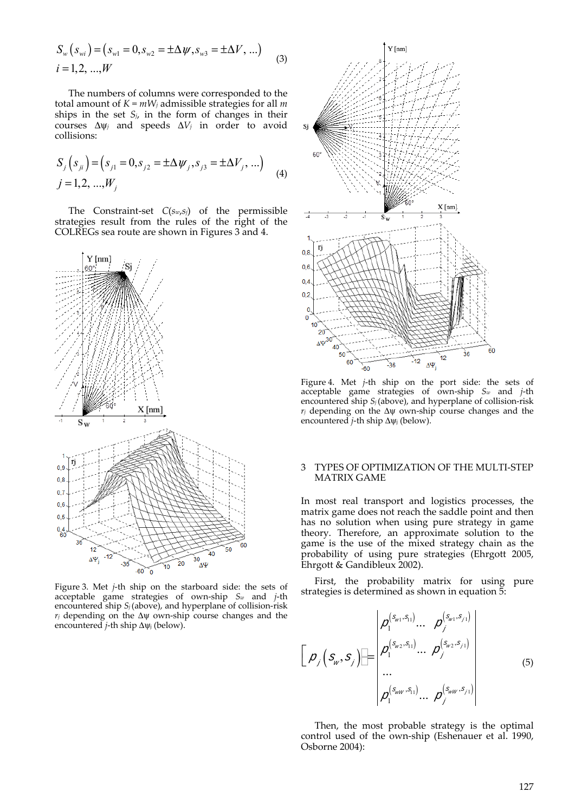$$
S_w(s_{wi}) = (s_{w1} = 0, s_{w2} = \pm \Delta \psi, s_{w3} = \pm \Delta V, ...)
$$
  
*i* = 1,2, ...,W (3)

The numbers of columns were corresponded to the total amount of *K* = *mWj* admissible strategies for all *m* ships in the set  $S_i$ , in the form of changes in their courses  $\Delta \psi_j$  and speeds  $\Delta V_j$  in order to avoid collisions:

$$
S_j(s_{ji}) = (s_{j1} = 0, s_{j2} = \pm \Delta \psi_j, s_{j3} = \pm \Delta V_j, ...)
$$
  
\n
$$
j = 1, 2, ..., W_j
$$
 (4)

The Constraint-set *C*(*sw*,*sj*) of the permissible strategies result from the rules of the right of the COLREGs sea route are shown in Figures 3 and 4.



Figure 3. Met *j*-th ship on the starboard side: the sets of acceptable game strategies of own-ship *Sw* and *j*-th encountered ship *S<sub>j</sub>* (above), and hyperplane of collision-risk  $r_j$  depending on the  $\Delta \psi$  own-ship course changes and the encountered *j*-th ship  $\Delta \psi$  (below).



Figure 4. Met *j*-th ship on the port side: the sets of acceptable game strategies of own-ship *Sw* and *j*-th encountered ship *S<sub>j</sub>* (above), and hyperplane of collision-risk  $r_j$  depending on the  $\Delta \psi$  own-ship course changes and the encountered *j*-th ship  $\Delta \psi_j$  (below).

### 3 TYPES OF OPTIMIZATION OF THE MULTI-STEP MATRIX GAME

In most real transport and logistics processes, the matrix game does not reach the saddle point and then has no solution when using pure strategy in game theory. Therefore, an approximate solution to the game is the use of the mixed strategy chain as the probability of using pure strategies (Ehrgott 2005, Ehrgott & Gandibleux 2002).

First, the probability matrix for using pure strategies is determined as shown in equation 5:

$$
\left[\rho_{j}(s_{w}, s_{j})\right] = \begin{bmatrix} \rho_{1}^{(s_{w1}, s_{1})} \dots & \rho_{j}^{(s_{w1}, s_{j1})} \\ \rho_{1}^{(s_{w2}, s_{1})} \dots & \rho_{j}^{(s_{w2}, s_{j1})} \\ \dots \\ \rho_{1}^{(s_{ww}, s_{1})} \dots & \rho_{j}^{(s_{ww}, s_{j1})} \end{bmatrix} \qquad (5)
$$

Then, the most probable strategy is the optimal control used of the own-ship (Eshenauer et al. 1990, Osborne 2004):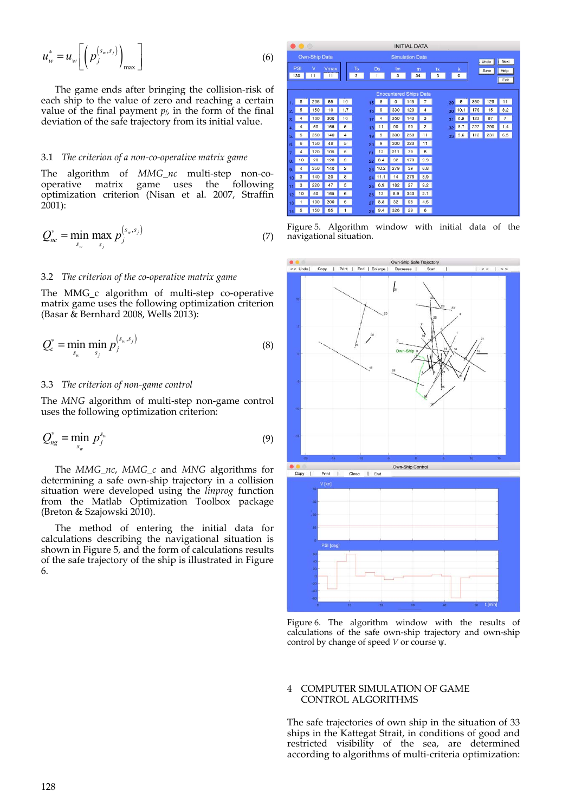$$
u_w^* = u_w \left[ \left( p_j^{(s_w, s_j)} \right)_{\text{max}} \right] \tag{6}
$$

The game ends after bringing the collision-risk of each ship to the value of zero and reaching a certain value of the final payment  $p_f$ , in the form of the final deviation of the safe trajectory from its initial value.

### 3.1 *The criterion of a non-co-operative matrix game*

The algorithm of *MMG\_nc* multi-step non-cooperative matrix game uses the following optimization criterion (Nisan et al. 2007, Straffin  $2001$ :

$$
Q_{nc}^* = \min_{s_w} \max_{s_j} p_j^{(s_w, s_j)} \tag{7}
$$

# 3.2 *The criterion of the co-operative matrix game*

The MMG<sub>c</sub> algorithm of multi-step co-operative matrix game uses the following optimization criterion (Basar  $\&$  Bernhard 2008, Wells 2013):

$$
Q_c^* = \min_{s_w} \min_{s_j} p_j^{\left(s_w, s_j\right)} \tag{8}
$$

# 3.3 *The criterion of non-game control*

The *MNG* algorithm of multi-step non-game control uses the following optimization criterion:

$$
Q_{ng}^* = \min_{s_w} p_j^{s_w} \tag{9}
$$

The *MMG\_nc*, *MMG\_c* and *MNG* algorithms for determining a safe own-ship trajectory in a collision situation were developed using the *linprog* function from the Matlab Optimization Toolbox package (Breton & Szajowski 2010).

The method of entering the initial data for calculations describing the navigational situation is shown in Figure 5, and the form of calculations results of the safe trajectory of the ship is illustrated in Figure 6.

| $\bullet\bullet\circ$   |                               |         |            |                | <b>INITIAL DATA</b>                  |                |             |         |                |                 |               |              |     |                      |  |
|-------------------------|-------------------------------|---------|------------|----------------|--------------------------------------|----------------|-------------|---------|----------------|-----------------|---------------|--------------|-----|----------------------|--|
| <b>Own-Ship Data</b>    |                               |         |            |                | <b>Simulation Data</b>               |                |             |         |                |                 |               |              |     |                      |  |
| PSI<br>130              |                               | V<br>11 | Vmax<br>11 |                | <b>Ts</b><br>Ds<br>3<br>$\mathbf{1}$ |                | tm<br>3     | m<br>34 |                | tk<br>3         | k<br>$\bf{0}$ | Undo<br>Save |     | Next<br>Help<br>Exit |  |
|                         | <b>Enocuntered Ships Data</b> |         |            |                |                                      |                |             |         |                |                 |               |              |     |                      |  |
|                         | 8                             | 205     | 65         | 10             | 15                                   | 8              | $\mathbf 0$ | 145     | $\overline{7}$ | 29              | 6             | 350          | 129 | 11                   |  |
| 2                       | 5                             | 150     | 10         | 1.7            | 16                                   | 9              | 330         | 120     | 4              | 30 <sup>°</sup> | 10.1          | 178          | 15  | 8.2                  |  |
| $\overline{\mathbf{3}}$ | $\overline{4}$                | 100     | 300        | 10             | 17                                   | $\overline{a}$ | 350         | 140     | 3              | 31              | 6.9           | 123          | 87  | $\overline{7}$       |  |
| 4                       | 4                             | 50      | 165        | 5              | 18                                   | 11             | 90          | 90      | $\overline{c}$ | 32              | 8.7           | 222          | 290 | 1.4                  |  |
| 5                       | 5                             | 350     | 140        | $\overline{4}$ | 19                                   | 9              | 300         | 250     | 11             | 33 <sup>1</sup> | 5.6           | 112          | 231 | 6.5                  |  |
| 6                       | 6                             | 150     | 48         | 5              | 20                                   | 9              | 300         | 320     | 11             |                 |               |              |     |                      |  |
| 7                       | $\overline{a}$                | 120     | 105        | 5              | 21                                   | 12             | 211         | 79      | 8              |                 |               |              |     |                      |  |
| 8                       | 10                            | 20      | 120        | 3              | 22                                   | 8.4            | 32          | 170     | 9.9            |                 |               |              |     |                      |  |
| 9                       | 4                             | 350     | 140        | $\overline{2}$ | 23                                   | 10.2           | 279         | 39      | 6.8            |                 |               |              |     |                      |  |
| 10                      | 3                             | 140     | 20         | 8              | 24                                   | 11.1           | 14          | 276     | 8.9            |                 |               |              |     |                      |  |
| 11                      | 3                             | 220     | 47         | 5              | 25                                   | 6.9            | 182         | 27      | 9.2            |                 |               |              |     |                      |  |
| 12                      | 10                            | 50      | 165        | 6              | 26                                   | 12             | 8.9         | 340     | 2.1            |                 |               |              |     |                      |  |
| 13                      | 1                             | 100     | 200        | 5              | 27                                   | 8.8            | 32          | 98      | 4.5            |                 |               |              |     |                      |  |
| 14                      | 5                             | 150     | 85         | $\mathbf{1}$   | 2R                                   | 9.4            | 326         | 29      | 6              |                 |               |              |     |                      |  |

Figure 5. Algorithm window with initial data of the navigational situation.



Figure 6. The algorithm window with the results of calculations of the safe own-ship trajectory and own-ship control by change of speed  $V$  or course  $\psi$ .

## 4 COMPUTER SIMULATION OF GAME CONTROL ALGORITHMS

The safe trajectories of own ship in the situation of 33 ships in the Kattegat Strait, in conditions of good and restricted visibility of the sea, are determined according to algorithms of multi-criteria optimization: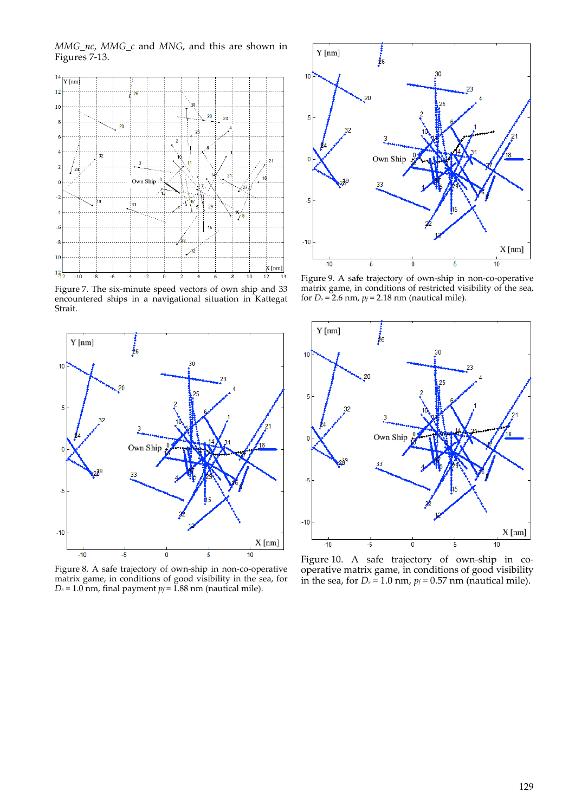*MMG\_nc*, *MMG\_c* and *MNG*, and this are shown in Figures 7-13.



Figure 7. The six-minute speed vectors of own ship and 33 encountered ships in a navigational situation in Kattegat Strait.



Figure 8. A safe trajectory of own-ship in non-co-operative matrix game, in conditions of good visibility in the sea, for  $D_s = 1.0$  nm, final payment  $p_f = 1.88$  nm (nautical mile).



Figure 9. A safe trajectory of own-ship in non-co-operative matrix game, in conditions of restricted visibility of the sea, for  $D_s = 2.6$  nm,  $p_f = 2.18$  nm (nautical mile).



Figure 10. A safe trajectory of own-ship in cooperative matrix game, in conditions of good visibility in the sea, for  $D_s = 1.0$  nm,  $p_f = 0.57$  nm (nautical mile).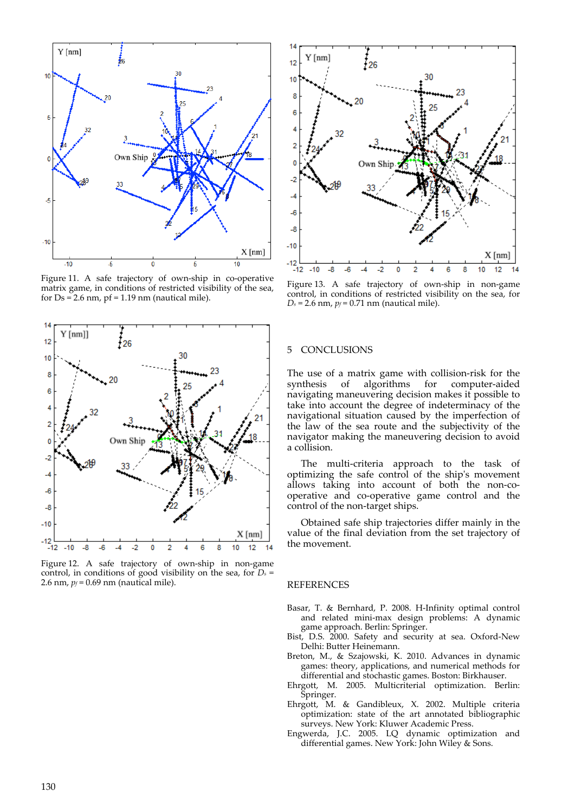

Figure 11. A safe trajectory of own-ship in co-operative matrix game, in conditions of restricted visibility of the sea, for  $Ds = 2.6$  nm,  $pf = 1.19$  nm (nautical mile).



Figure 12. A safe trajectory of own-ship in non-game control, in conditions of good visibility on the sea, for *Ds* = 2.6 nm, *pf* = 0.69 nm (nautical mile).



Figure 13. A safe trajectory of own-ship in non-game control, in conditions of restricted visibility on the sea, for  $D_s$  = 2.6 nm,  $p_f$  = 0.71 nm (nautical mile).

# 5 CONCLUSIONS

The use of a matrix game with collision-risk for the synthesis of algorithms for computer-aided algorithms for navigating maneuvering decision makes it possible to take into account the degree of indeterminacy of the navigational situation caused by the imperfection of the law of the sea route and the subjectivity of the navigator making the maneuvering decision to avoid a collision.

The multi-criteria approach to the task of optimizing the safe control of the ship's movement allows taking into account of both the non-cooperative and co-operative game control and the control of the non-target ships.

Obtained safe ship trajectories differ mainly in the value of the final deviation from the set trajectory of the movement.

### REFERENCES

- Basar, T. & Bernhard, P. 2008. H-Infinity optimal control and related mini-max design problems: A dynamic game approach. Berlin: Springer.
- Bist, D.S. 2000. Safety and security at sea. Oxford-New Delhi: Butter Heinemann.
- Breton, M., & Szajowski, K. 2010. Advances in dynamic games: theory, applications, and numerical methods for differential and stochastic games. Boston: Birkhauser.
- Ehrgott, M. 2005. Multicriterial optimization. Berlin: Springer.
- Ehrgott, M. & Gandibleux, X. 2002. Multiple criteria optimization: state of the art annotated bibliographic surveys. New York: Kluwer Academic Press.
- Engwerda, J.C. 2005. LQ dynamic optimization and differential games. New York: John Wiley & Sons.